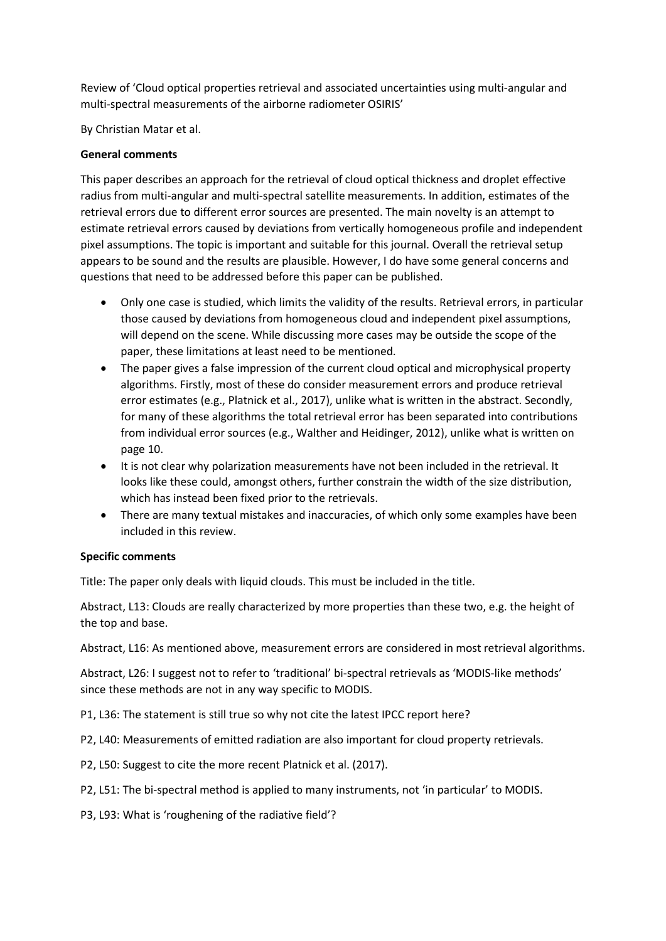Review of 'Cloud optical properties retrieval and associated uncertainties using multi-angular and multi-spectral measurements of the airborne radiometer OSIRIS'

By Christian Matar et al.

## **General comments**

This paper describes an approach for the retrieval of cloud optical thickness and droplet effective radius from multi-angular and multi-spectral satellite measurements. In addition, estimates of the retrieval errors due to different error sources are presented. The main novelty is an attempt to estimate retrieval errors caused by deviations from vertically homogeneous profile and independent pixel assumptions. The topic is important and suitable for this journal. Overall the retrieval setup appears to be sound and the results are plausible. However, I do have some general concerns and questions that need to be addressed before this paper can be published.

- Only one case is studied, which limits the validity of the results. Retrieval errors, in particular those caused by deviations from homogeneous cloud and independent pixel assumptions, will depend on the scene. While discussing more cases may be outside the scope of the paper, these limitations at least need to be mentioned.
- The paper gives a false impression of the current cloud optical and microphysical property algorithms. Firstly, most of these do consider measurement errors and produce retrieval error estimates (e.g., Platnick et al., 2017), unlike what is written in the abstract. Secondly, for many of these algorithms the total retrieval error has been separated into contributions from individual error sources (e.g., Walther and Heidinger, 2012), unlike what is written on page 10.
- It is not clear why polarization measurements have not been included in the retrieval. It looks like these could, amongst others, further constrain the width of the size distribution, which has instead been fixed prior to the retrievals.
- There are many textual mistakes and inaccuracies, of which only some examples have been included in this review.

## **Specific comments**

Title: The paper only deals with liquid clouds. This must be included in the title.

Abstract, L13: Clouds are really characterized by more properties than these two, e.g. the height of the top and base.

Abstract, L16: As mentioned above, measurement errors are considered in most retrieval algorithms.

Abstract, L26: I suggest not to refer to 'traditional' bi-spectral retrievals as 'MODIS-like methods' since these methods are not in any way specific to MODIS.

P1, L36: The statement is still true so why not cite the latest IPCC report here?

P2, L40: Measurements of emitted radiation are also important for cloud property retrievals.

P2, L50: Suggest to cite the more recent Platnick et al. (2017).

P2, L51: The bi-spectral method is applied to many instruments, not 'in particular' to MODIS.

P3, L93: What is 'roughening of the radiative field'?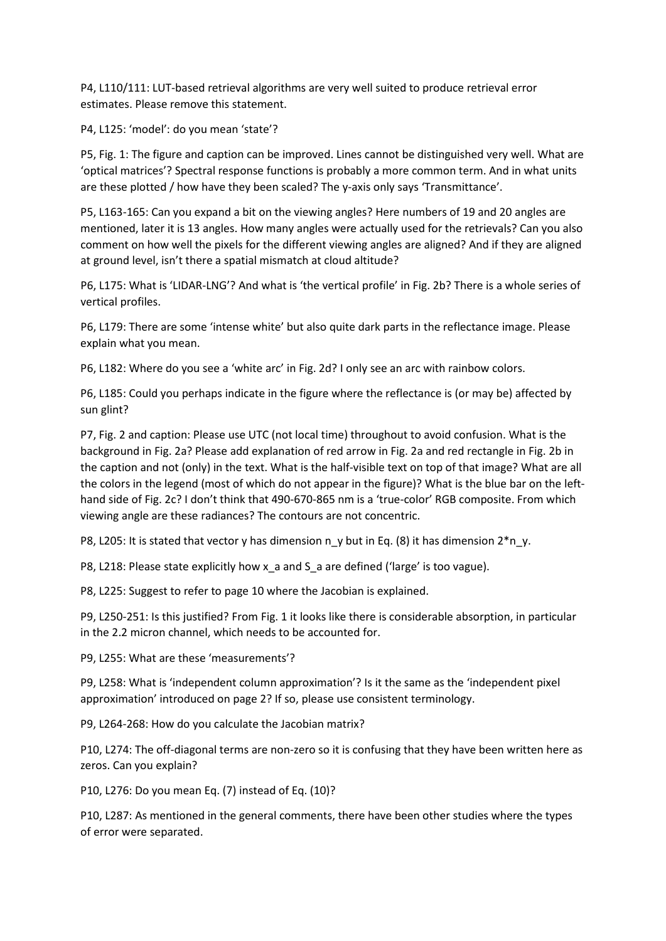P4, L110/111: LUT-based retrieval algorithms are very well suited to produce retrieval error estimates. Please remove this statement.

P4, L125: 'model': do you mean 'state'?

P5, Fig. 1: The figure and caption can be improved. Lines cannot be distinguished very well. What are 'optical matrices'? Spectral response functions is probably a more common term. And in what units are these plotted / how have they been scaled? The y-axis only says 'Transmittance'.

P5, L163-165: Can you expand a bit on the viewing angles? Here numbers of 19 and 20 angles are mentioned, later it is 13 angles. How many angles were actually used for the retrievals? Can you also comment on how well the pixels for the different viewing angles are aligned? And if they are aligned at ground level, isn't there a spatial mismatch at cloud altitude?

P6, L175: What is 'LIDAR-LNG'? And what is 'the vertical profile' in Fig. 2b? There is a whole series of vertical profiles.

P6, L179: There are some 'intense white' but also quite dark parts in the reflectance image. Please explain what you mean.

P6, L182: Where do you see a 'white arc' in Fig. 2d? I only see an arc with rainbow colors.

P6, L185: Could you perhaps indicate in the figure where the reflectance is (or may be) affected by sun glint?

P7, Fig. 2 and caption: Please use UTC (not local time) throughout to avoid confusion. What is the background in Fig. 2a? Please add explanation of red arrow in Fig. 2a and red rectangle in Fig. 2b in the caption and not (only) in the text. What is the half-visible text on top of that image? What are all the colors in the legend (most of which do not appear in the figure)? What is the blue bar on the lefthand side of Fig. 2c? I don't think that 490-670-865 nm is a 'true-color' RGB composite. From which viewing angle are these radiances? The contours are not concentric.

P8, L205: It is stated that vector y has dimension n\_y but in Eq. (8) it has dimension  $2*n_y$ .

P8, L218: Please state explicitly how x\_a and S\_a are defined ('large' is too vague).

P8, L225: Suggest to refer to page 10 where the Jacobian is explained.

P9, L250-251: Is this justified? From Fig. 1 it looks like there is considerable absorption, in particular in the 2.2 micron channel, which needs to be accounted for.

P9, L255: What are these 'measurements'?

P9, L258: What is 'independent column approximation'? Is it the same as the 'independent pixel approximation' introduced on page 2? If so, please use consistent terminology.

P9, L264-268: How do you calculate the Jacobian matrix?

P10, L274: The off-diagonal terms are non-zero so it is confusing that they have been written here as zeros. Can you explain?

P10, L276: Do you mean Eq. (7) instead of Eq. (10)?

P10, L287: As mentioned in the general comments, there have been other studies where the types of error were separated.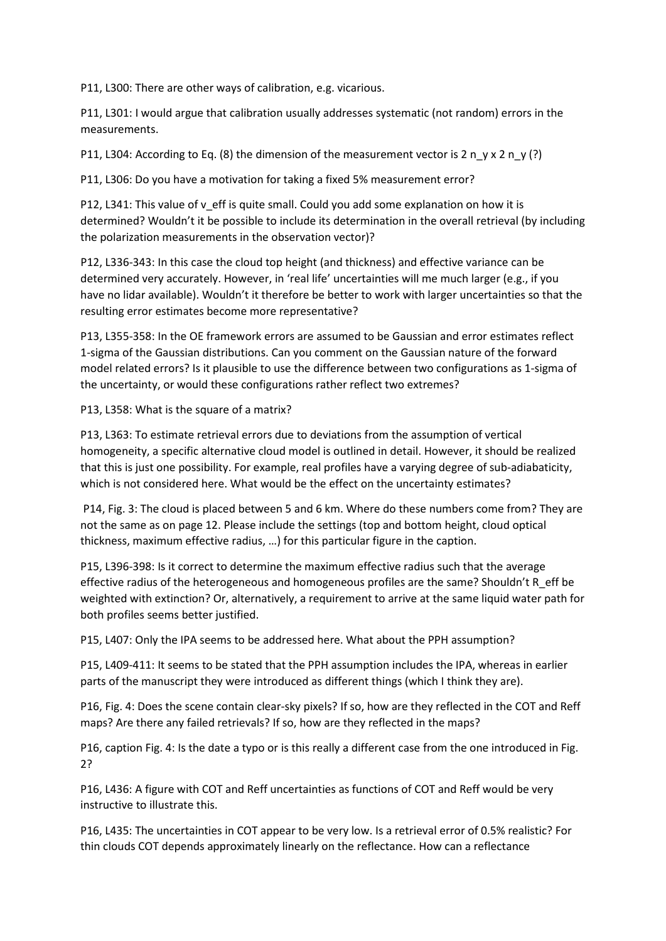P11, L300: There are other ways of calibration, e.g. vicarious.

P11, L301: I would argue that calibration usually addresses systematic (not random) errors in the measurements.

P11, L304: According to Eq. (8) the dimension of the measurement vector is 2 n\_v x 2 n\_v (?)

P11, L306: Do you have a motivation for taking a fixed 5% measurement error?

P12, L341: This value of v\_eff is quite small. Could you add some explanation on how it is determined? Wouldn't it be possible to include its determination in the overall retrieval (by including the polarization measurements in the observation vector)?

P12, L336-343: In this case the cloud top height (and thickness) and effective variance can be determined very accurately. However, in 'real life' uncertainties will me much larger (e.g., if you have no lidar available). Wouldn't it therefore be better to work with larger uncertainties so that the resulting error estimates become more representative?

P13, L355-358: In the OE framework errors are assumed to be Gaussian and error estimates reflect 1-sigma of the Gaussian distributions. Can you comment on the Gaussian nature of the forward model related errors? Is it plausible to use the difference between two configurations as 1-sigma of the uncertainty, or would these configurations rather reflect two extremes?

P13, L358: What is the square of a matrix?

P13, L363: To estimate retrieval errors due to deviations from the assumption of vertical homogeneity, a specific alternative cloud model is outlined in detail. However, it should be realized that this is just one possibility. For example, real profiles have a varying degree of sub-adiabaticity, which is not considered here. What would be the effect on the uncertainty estimates?

P14, Fig. 3: The cloud is placed between 5 and 6 km. Where do these numbers come from? They are not the same as on page 12. Please include the settings (top and bottom height, cloud optical thickness, maximum effective radius, …) for this particular figure in the caption.

P15, L396-398: Is it correct to determine the maximum effective radius such that the average effective radius of the heterogeneous and homogeneous profiles are the same? Shouldn't R\_eff be weighted with extinction? Or, alternatively, a requirement to arrive at the same liquid water path for both profiles seems better justified.

P15, L407: Only the IPA seems to be addressed here. What about the PPH assumption?

P15, L409-411: It seems to be stated that the PPH assumption includes the IPA, whereas in earlier parts of the manuscript they were introduced as different things (which I think they are).

P16, Fig. 4: Does the scene contain clear-sky pixels? If so, how are they reflected in the COT and Reff maps? Are there any failed retrievals? If so, how are they reflected in the maps?

P16, caption Fig. 4: Is the date a typo or is this really a different case from the one introduced in Fig. 2?

P16, L436: A figure with COT and Reff uncertainties as functions of COT and Reff would be very instructive to illustrate this.

P16, L435: The uncertainties in COT appear to be very low. Is a retrieval error of 0.5% realistic? For thin clouds COT depends approximately linearly on the reflectance. How can a reflectance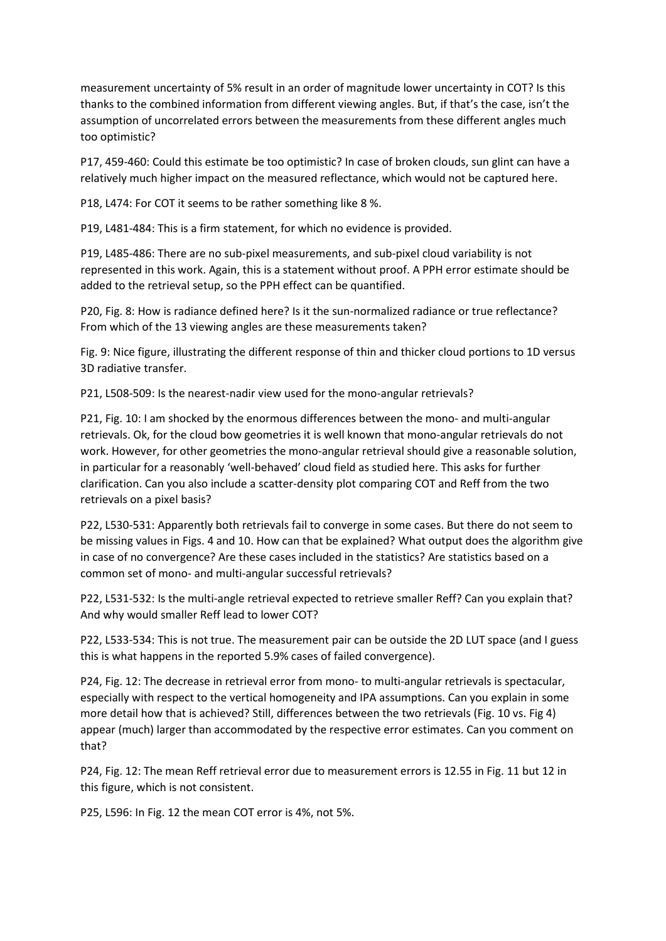measurement uncertainty of 5% result in an order of magnitude lower uncertainty in COT? Is this thanks to the combined information from different viewing angles. But, if that's the case, isn't the assumption of uncorrelated errors between the measurements from these different angles much too optimistic?

P17, 459-460: Could this estimate be too optimistic? In case of broken clouds, sun glint can have a relatively much higher impact on the measured reflectance, which would not be captured here.

P18, L474: For COT it seems to be rather something like 8 %.

P19, L481-484: This is a firm statement, for which no evidence is provided.

P19, L485-486: There are no sub-pixel measurements, and sub-pixel cloud variability is not represented in this work. Again, this is a statement without proof. A PPH error estimate should be added to the retrieval setup, so the PPH effect can be quantified.

P20, Fig. 8: How is radiance defined here? Is it the sun-normalized radiance or true reflectance? From which of the 13 viewing angles are these measurements taken?

Fig. 9: Nice figure, illustrating the different response of thin and thicker cloud portions to 1D versus 3D radiative transfer.

P21, L508-509: Is the nearest-nadir view used for the mono-angular retrievals?

P21, Fig. 10: I am shocked by the enormous differences between the mono- and multi-angular retrievals. Ok, for the cloud bow geometries it is well known that mono-angular retrievals do not work. However, for other geometries the mono-angular retrieval should give a reasonable solution, in particular for a reasonably 'well-behaved' cloud field as studied here. This asks for further clarification. Can you also include a scatter-density plot comparing COT and Reff from the two retrievals on a pixel basis?

P22, L530-531: Apparently both retrievals fail to converge in some cases. But there do not seem to be missing values in Figs. 4 and 10. How can that be explained? What output does the algorithm give in case of no convergence? Are these cases included in the statistics? Are statistics based on a common set of mono- and multi-angular successful retrievals?

P22, L531-532: Is the multi-angle retrieval expected to retrieve smaller Reff? Can you explain that? And why would smaller Reff lead to lower COT?

P22, L533-534: This is not true. The measurement pair can be outside the 2D LUT space (and I guess this is what happens in the reported 5.9% cases of failed convergence).

P24, Fig. 12: The decrease in retrieval error from mono- to multi-angular retrievals is spectacular, especially with respect to the vertical homogeneity and IPA assumptions. Can you explain in some more detail how that is achieved? Still, differences between the two retrievals (Fig. 10 vs. Fig 4) appear (much) larger than accommodated by the respective error estimates. Can you comment on that?

P24, Fig. 12: The mean Reff retrieval error due to measurement errors is 12.55 in Fig. 11 but 12 in this figure, which is not consistent.

P25, L596: In Fig. 12 the mean COT error is 4%, not 5%.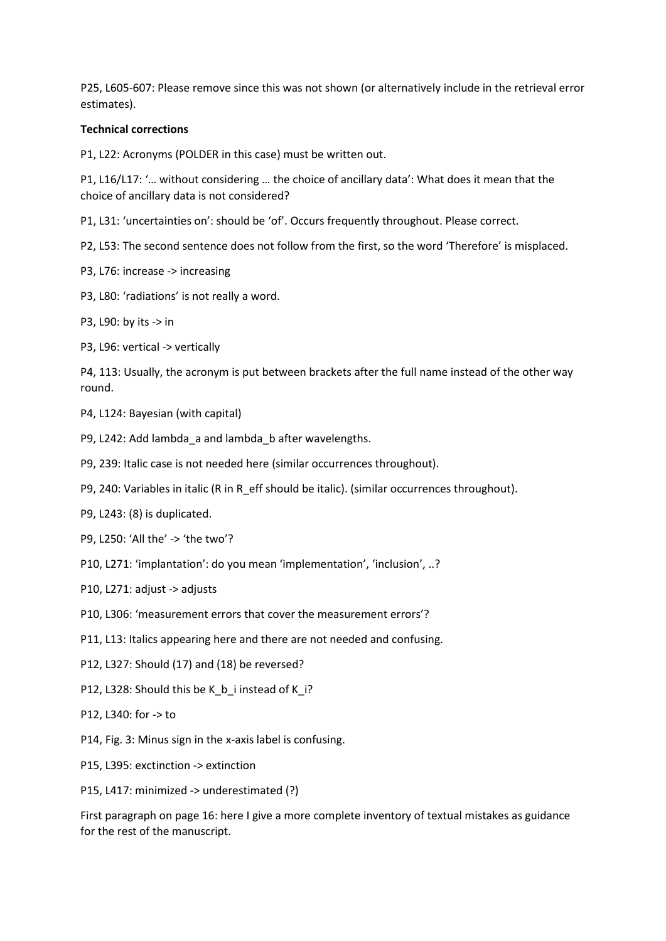P25, L605-607: Please remove since this was not shown (or alternatively include in the retrieval error estimates).

## **Technical corrections**

P1, L22: Acronyms (POLDER in this case) must be written out.

P1, L16/L17: '… without considering … the choice of ancillary data': What does it mean that the choice of ancillary data is not considered?

P1, L31: 'uncertainties on': should be 'of'. Occurs frequently throughout. Please correct.

P2, L53: The second sentence does not follow from the first, so the word 'Therefore' is misplaced.

P3, L76: increase -> increasing

P3, L80: 'radiations' is not really a word.

- P3, L90: by its -> in
- P3, L96: vertical -> vertically

P4, 113: Usually, the acronym is put between brackets after the full name instead of the other way round.

P4, L124: Bayesian (with capital)

P9, L242: Add lambda\_a and lambda\_b after wavelengths.

P9, 239: Italic case is not needed here (similar occurrences throughout).

P9, 240: Variables in italic (R in R\_eff should be italic). (similar occurrences throughout).

P9, L243: (8) is duplicated.

P9, L250: 'All the' -> 'the two'?

P10, L271: 'implantation': do you mean 'implementation', 'inclusion', ..?

P10, L271: adjust -> adjusts

P10, L306: 'measurement errors that cover the measurement errors'?

P11, L13: Italics appearing here and there are not needed and confusing.

P12, L327: Should (17) and (18) be reversed?

P12, L328: Should this be K\_b\_i instead of K\_i?

- P12, L340: for -> to
- P14, Fig. 3: Minus sign in the x-axis label is confusing.
- P15, L395: exctinction -> extinction

P15, L417: minimized -> underestimated (?)

First paragraph on page 16: here I give a more complete inventory of textual mistakes as guidance for the rest of the manuscript.